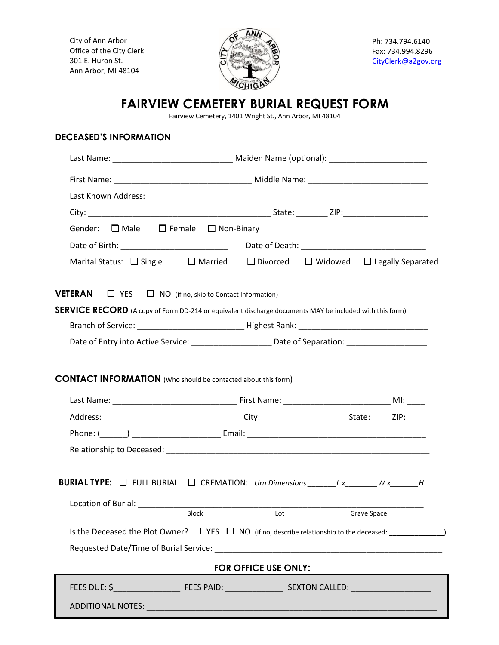City of Ann Arbor Office of the City Clerk 301 E. Huron St. Ann Arbor, MI 48104



Ph: 734.794.6140 Fax: 734.994.8296 [CityClerk@a2gov.org](mailto:CityClerk@a2gov.org)

## **FAIRVIEW CEMETERY BURIAL REQUEST FORM**

Fairview Cemetery, 1401 Wright St., Ann Arbor, MI 48104

## **DECEASED'S INFORMATION**

| Gender: $\Box$ Male $\Box$ Female $\Box$ Non-Binary                                                                |              |                             |  |             |  |
|--------------------------------------------------------------------------------------------------------------------|--------------|-----------------------------|--|-------------|--|
|                                                                                                                    |              |                             |  |             |  |
| Marital Status: $\Box$ Single $\Box$ Married $\Box$ Divorced $\Box$ Widowed $\Box$ Legally Separated               |              |                             |  |             |  |
| <b>VETERAN</b> $\Box$ YES $\Box$ NO (if no, skip to Contact Information)                                           |              |                             |  |             |  |
| SERVICE RECORD (A copy of Form DD-214 or equivalent discharge documents MAY be included with this form)            |              |                             |  |             |  |
|                                                                                                                    |              |                             |  |             |  |
| Date of Entry into Active Service: ________________________ Date of Separation: ____________________               |              |                             |  |             |  |
|                                                                                                                    |              |                             |  |             |  |
|                                                                                                                    |              |                             |  |             |  |
|                                                                                                                    |              |                             |  |             |  |
|                                                                                                                    |              |                             |  |             |  |
| <b>BURIAL TYPE:</b> $\Box$ FULL BURIAL $\Box$ CREMATION: Urn Dimensions _______L x_______W x______H                |              |                             |  |             |  |
|                                                                                                                    | <b>Block</b> |                             |  |             |  |
|                                                                                                                    |              | Lot                         |  | Grave Space |  |
| Is the Deceased the Plot Owner? $\Box$ YES $\Box$ NO (if no, describe relationship to the deceased: ______________ |              |                             |  |             |  |
|                                                                                                                    |              |                             |  |             |  |
|                                                                                                                    |              | <b>FOR OFFICE USE ONLY:</b> |  |             |  |
|                                                                                                                    |              |                             |  |             |  |
|                                                                                                                    |              |                             |  |             |  |